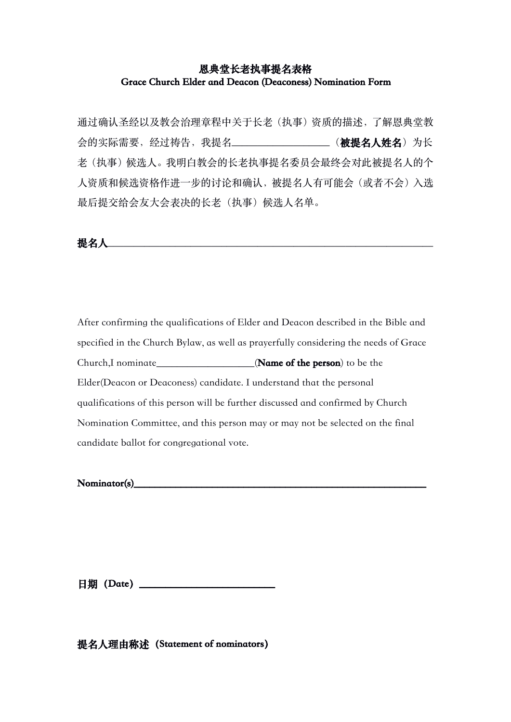## **恩典堂长老执事提名表格 Grace Church Elder and Deacon (Deaconess) Nomination Form**

通过确认圣经以及教会治理章程中关于长老(执事)资质的描述,了解恩典堂教 会的实际需要,经过祷告,我提名\_\_\_\_\_\_\_\_\_\_\_\_\_\_\_\_\_\_\_(**被提名人姓名**)为长 老(执事)候选人。我明白教会的长老执事提名委员会最终会对此被提名人的个 人资质和候选资格作进一步的讨论和确认,被提名人有可能会(或者不会)入选 最后提交给会友大会表决的长老(执事)候选人名单。

**提名人**\_\_\_\_\_\_\_\_\_\_\_\_\_\_\_\_\_\_\_\_\_\_\_\_\_\_\_\_\_\_\_\_\_\_\_\_\_\_\_\_\_\_\_\_\_\_\_\_\_\_\_\_\_\_\_\_\_\_\_\_\_\_\_

After confirming the qualifications of Elder and Deacon described in the Bible and specified in the Church Bylaw, as well as prayerfully considering the needs of Grace Church,I nominate\_\_\_\_\_\_\_\_\_\_\_\_\_\_\_\_\_\_\_(**Name of the person**) to be the Elder(Deacon or Deaconess) candidate. I understand that the personal qualifications of this person will be further discussed and confirmed by Church Nomination Committee, and this person may or may not be selected on the final candidate ballot for congregational vote.

Nominator(s)

**日期(Date)\_\_\_\_\_\_\_\_\_\_\_\_\_\_\_\_\_\_\_\_\_\_\_\_\_\_**

**提名人理由称述(Statement of nominators)**